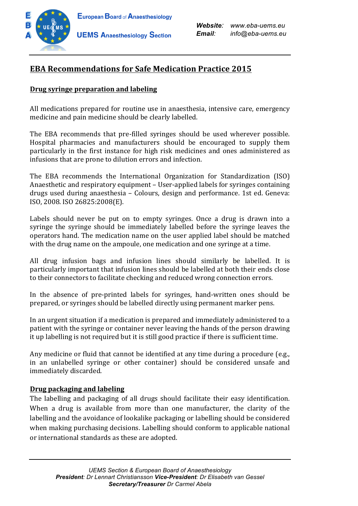

# **EBA Recommendations for Safe Medication Practice 2015**

## **Drug syringe preparation and labeling**

All medications prepared for routine use in anaesthesia, intensive care, emergency medicine and pain medicine should be clearly labelled.

The EBA recommends that pre-filled syringes should be used wherever possible. Hospital pharmacies and manufacturers should be encouraged to supply them particularly in the first instance for high risk medicines and ones administered as infusions that are prone to dilution errors and infection.

The EBA recommends the International Organization for Standardization (ISO) Anaesthetic and respiratory equipment - User-applied labels for syringes containing drugs used during anaesthesia – Colours, design and performance. 1st ed. Geneva: ISO, 2008. ISO 26825:2008(E). 

Labels should never be put on to empty syringes. Once a drug is drawn into a syringe the syringe should be immediately labelled before the syringe leaves the operators hand. The medication name on the user applied label should be matched with the drug name on the ampoule, one medication and one syringe at a time.

All drug infusion bags and infusion lines should similarly be labelled. It is particularly important that infusion lines should be labelled at both their ends close to their connectors to facilitate checking and reduced wrong connection errors.

In the absence of pre-printed labels for syringes, hand-written ones should be prepared, or syringes should be labelled directly using permanent marker pens.

In an urgent situation if a medication is prepared and immediately administered to a patient with the syringe or container never leaving the hands of the person drawing it up labelling is not required but it is still good practice if there is sufficient time.

Any medicine or fluid that cannot be identified at any time during a procedure (e.g., in an unlabelled syringe or other container) should be considered unsafe and immediately discarded.

### **Drug packaging and labeling**

The labelling and packaging of all drugs should facilitate their easy identification. When a drug is available from more than one manufacturer, the clarity of the labelling and the avoidance of lookalike packaging or labelling should be considered when making purchasing decisions. Labelling should conform to applicable national or international standards as these are adopted.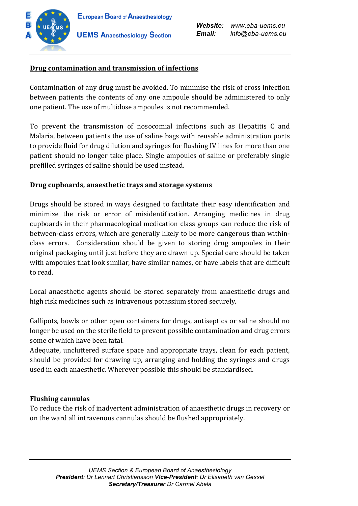

*Website: www.eba-uems.eu Email: info@eba-uems.eu*

## **Drug contamination and transmission of infections**

Contamination of any drug must be avoided. To minimise the risk of cross infection between patients the contents of any one ampoule should be administered to only one patient. The use of multidose ampoules is not recommended.

To prevent the transmission of nosocomial infections such as Hepatitis C and Malaria, between patients the use of saline bags with reusable administration ports to provide fluid for drug dilution and syringes for flushing IV lines for more than one patient should no longer take place. Single ampoules of saline or preferably single prefilled syringes of saline should be used instead.

### **Drug cupboards, anaesthetic trays and storage systems**

Drugs should be stored in ways designed to facilitate their easy identification and minimize the risk or error of misidentification. Arranging medicines in drug cupboards in their pharmacological medication class groups can reduce the risk of between-class errors, which are generally likely to be more dangerous than withinclass errors. Consideration should be given to storing drug ampoules in their original packaging until just before they are drawn up. Special care should be taken with ampoules that look similar, have similar names, or have labels that are difficult to read.

Local anaesthetic agents should be stored separately from anaesthetic drugs and high risk medicines such as intravenous potassium stored securely.

Gallipots, bowls or other open containers for drugs, antiseptics or saline should no longer be used on the sterile field to prevent possible contamination and drug errors some of which have been fatal.

Adequate, uncluttered surface space and appropriate trays, clean for each patient, should be provided for drawing up, arranging and holding the syringes and drugs used in each anaesthetic. Wherever possible this should be standardised.

### **Flushing cannulas**

To reduce the risk of inadvertent administration of anaesthetic drugs in recovery or on the ward all intravenous cannulas should be flushed appropriately.